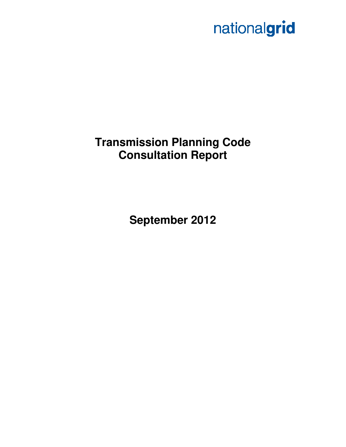# nationalgrid

# **Transmission Planning Code Consultation Report**

**September 2012**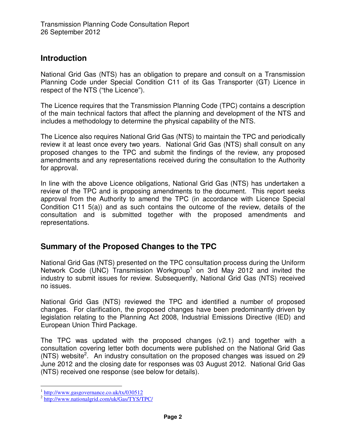#### **Introduction**

National Grid Gas (NTS) has an obligation to prepare and consult on a Transmission Planning Code under Special Condition C11 of its Gas Transporter (GT) Licence in respect of the NTS ("the Licence").

The Licence requires that the Transmission Planning Code (TPC) contains a description of the main technical factors that affect the planning and development of the NTS and includes a methodology to determine the physical capability of the NTS.

The Licence also requires National Grid Gas (NTS) to maintain the TPC and periodically review it at least once every two years. National Grid Gas (NTS) shall consult on any proposed changes to the TPC and submit the findings of the review, any proposed amendments and any representations received during the consultation to the Authority for approval.

In line with the above Licence obligations, National Grid Gas (NTS) has undertaken a review of the TPC and is proposing amendments to the document. This report seeks approval from the Authority to amend the TPC (in accordance with Licence Special Condition C11 5(a)) and as such contains the outcome of the review, details of the consultation and is submitted together with the proposed amendments and representations.

## **Summary of the Proposed Changes to the TPC**

National Grid Gas (NTS) presented on the TPC consultation process during the Uniform Network Code (UNC) Transmission Workgroup<sup>1</sup> on 3rd May 2012 and invited the industry to submit issues for review. Subsequently, National Grid Gas (NTS) received no issues.

National Grid Gas (NTS) reviewed the TPC and identified a number of proposed changes. For clarification, the proposed changes have been predominantly driven by legislation relating to the Planning Act 2008, Industrial Emissions Directive (IED) and European Union Third Package.

The TPC was updated with the proposed changes (v2.1) and together with a consultation covering letter both documents were published on the National Grid Gas  $(NTS)$  website<sup>2</sup>. An industry consultation on the proposed changes was issued on 29 June 2012 and the closing date for responses was 03 August 2012. National Grid Gas (NTS) received one response (see below for details).

 $\overline{a}$ <sup>1</sup> http://www.gasgovernance.co.uk/tx/030512

<sup>&</sup>lt;sup>2</sup> http://www.nationalgrid.com/uk/Gas/TYS/TPC/